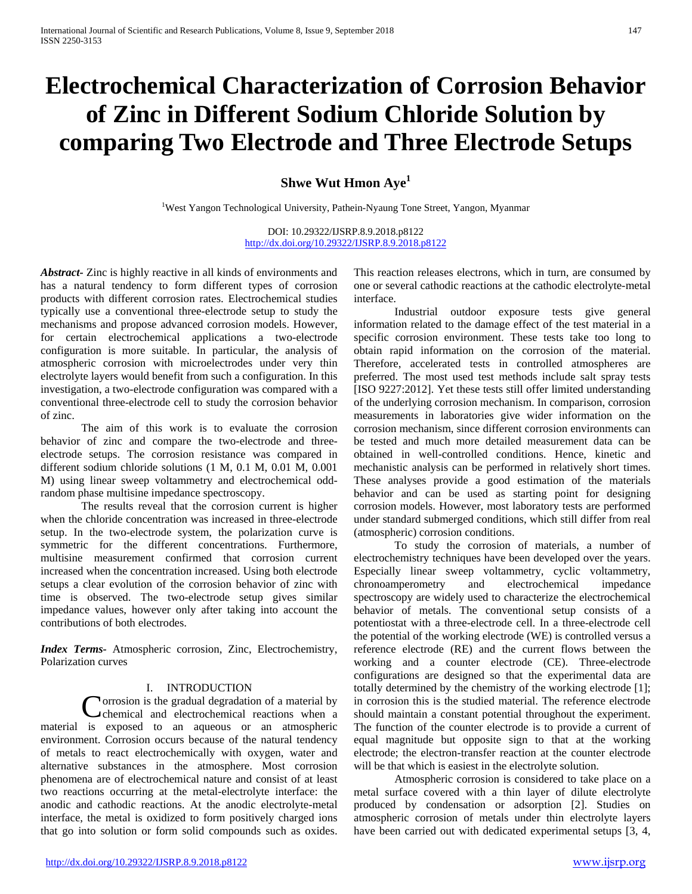# **Electrochemical Characterization of Corrosion Behavior of Zinc in Different Sodium Chloride Solution by comparing Two Electrode and Three Electrode Setups**

**Shwe Wut Hmon Aye<sup>1</sup>**

<sup>1</sup>West Yangon Technological University, Pathein-Nyaung Tone Street, Yangon, Myanmar

DOI: 10.29322/IJSRP.8.9.2018.p8122 <http://dx.doi.org/10.29322/IJSRP.8.9.2018.p8122>

*Abstract-* Zinc is highly reactive in all kinds of environments and has a natural tendency to form different types of corrosion products with different corrosion rates. Electrochemical studies typically use a conventional three-electrode setup to study the mechanisms and propose advanced corrosion models. However, for certain electrochemical applications a two-electrode configuration is more suitable. In particular, the analysis of atmospheric corrosion with microelectrodes under very thin electrolyte layers would benefit from such a configuration. In this investigation, a two-electrode configuration was compared with a conventional three-electrode cell to study the corrosion behavior of zinc.

The aim of this work is to evaluate the corrosion behavior of zinc and compare the two-electrode and threeelectrode setups. The corrosion resistance was compared in different sodium chloride solutions (1 M, 0.1 M, 0.01 M, 0.001 M) using linear sweep voltammetry and electrochemical oddrandom phase multisine impedance spectroscopy.

The results reveal that the corrosion current is higher when the chloride concentration was increased in three-electrode setup. In the two-electrode system, the polarization curve is symmetric for the different concentrations. Furthermore, multisine measurement confirmed that corrosion current increased when the concentration increased. Using both electrode setups a clear evolution of the corrosion behavior of zinc with time is observed. The two-electrode setup gives similar impedance values, however only after taking into account the contributions of both electrodes.

*Index Terms-* Atmospheric corrosion, Zinc, Electrochemistry, Polarization curves

## I. INTRODUCTION

**N**orrosion is the gradual degradation of a material by Corrosion is the gradual degradation of a material by<br>
chemical and electrochemical reactions when a material is exposed to an aqueous or an atmospheric environment. Corrosion occurs because of the natural tendency of metals to react electrochemically with oxygen, water and alternative substances in the atmosphere. Most corrosion phenomena are of electrochemical nature and consist of at least two reactions occurring at the metal-electrolyte interface: the anodic and cathodic reactions. At the anodic electrolyte-metal interface, the metal is oxidized to form positively charged ions that go into solution or form solid compounds such as oxides.

This reaction releases electrons, which in turn, are consumed by one or several cathodic reactions at the cathodic electrolyte-metal interface.

Industrial outdoor exposure tests give general information related to the damage effect of the test material in a specific corrosion environment. These tests take too long to obtain rapid information on the corrosion of the material. Therefore, accelerated tests in controlled atmospheres are preferred. The most used test methods include salt spray tests [ISO 9227:2012]. Yet these tests still offer limited understanding of the underlying corrosion mechanism. In comparison, corrosion measurements in laboratories give wider information on the corrosion mechanism, since different corrosion environments can be tested and much more detailed measurement data can be obtained in well-controlled conditions. Hence, kinetic and mechanistic analysis can be performed in relatively short times. These analyses provide a good estimation of the materials behavior and can be used as starting point for designing corrosion models. However, most laboratory tests are performed under standard submerged conditions, which still differ from real (atmospheric) corrosion conditions.

To study the corrosion of materials, a number of electrochemistry techniques have been developed over the years. Especially linear sweep voltammetry, cyclic voltammetry, chronoamperometry and electrochemical impedance spectroscopy are widely used to characterize the electrochemical behavior of metals. The conventional setup consists of a potentiostat with a three-electrode cell. In a three-electrode cell the potential of the working electrode (WE) is controlled versus a reference electrode (RE) and the current flows between the working and a counter electrode (CE). Three-electrode configurations are designed so that the experimental data are totally determined by the chemistry of the working electrode [1]; in corrosion this is the studied material. The reference electrode should maintain a constant potential throughout the experiment. The function of the counter electrode is to provide a current of equal magnitude but opposite sign to that at the working electrode; the electron-transfer reaction at the counter electrode will be that which is easiest in the electrolyte solution.

Atmospheric corrosion is considered to take place on a metal surface covered with a thin layer of dilute electrolyte produced by condensation or adsorption [2]. Studies on atmospheric corrosion of metals under thin electrolyte layers have been carried out with dedicated experimental setups [3, 4,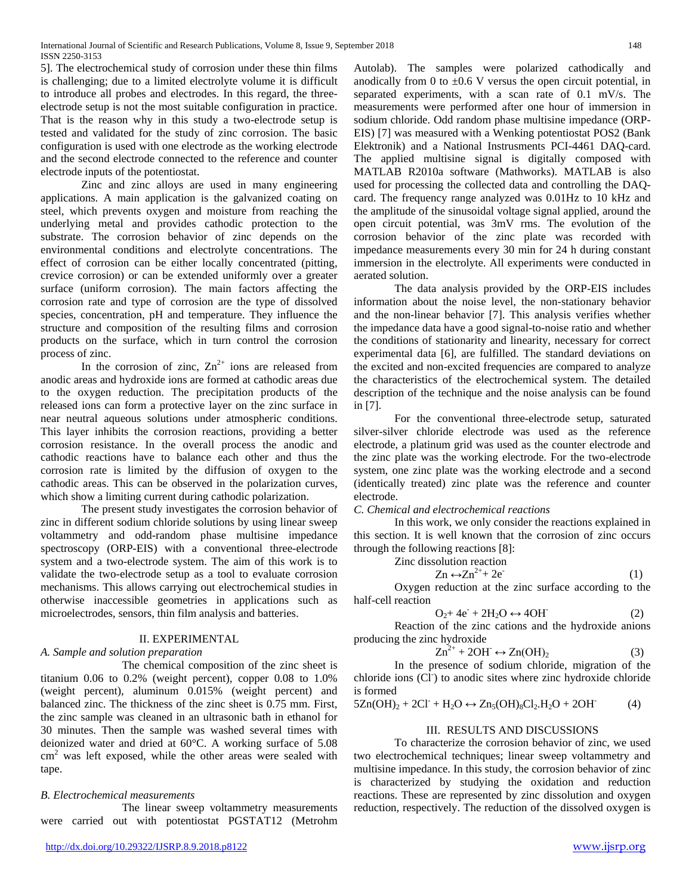5]. The electrochemical study of corrosion under these thin films is challenging; due to a limited electrolyte volume it is difficult to introduce all probes and electrodes. In this regard, the threeelectrode setup is not the most suitable configuration in practice. That is the reason why in this study a two-electrode setup is tested and validated for the study of zinc corrosion. The basic configuration is used with one electrode as the working electrode and the second electrode connected to the reference and counter electrode inputs of the potentiostat.

Zinc and zinc alloys are used in many engineering applications. A main application is the galvanized coating on steel, which prevents oxygen and moisture from reaching the underlying metal and provides cathodic protection to the substrate. The corrosion behavior of zinc depends on the environmental conditions and electrolyte concentrations. The effect of corrosion can be either locally concentrated (pitting, crevice corrosion) or can be extended uniformly over a greater surface (uniform corrosion). The main factors affecting the corrosion rate and type of corrosion are the type of dissolved species, concentration, pH and temperature. They influence the structure and composition of the resulting films and corrosion products on the surface, which in turn control the corrosion process of zinc.

In the corrosion of zinc,  $Zn^{2+}$  ions are released from anodic areas and hydroxide ions are formed at cathodic areas due to the oxygen reduction. The precipitation products of the released ions can form a protective layer on the zinc surface in near neutral aqueous solutions under atmospheric conditions. This layer inhibits the corrosion reactions, providing a better corrosion resistance. In the overall process the anodic and cathodic reactions have to balance each other and thus the corrosion rate is limited by the diffusion of oxygen to the cathodic areas. This can be observed in the polarization curves, which show a limiting current during cathodic polarization.

The present study investigates the corrosion behavior of zinc in different sodium chloride solutions by using linear sweep voltammetry and odd-random phase multisine impedance spectroscopy (ORP-EIS) with a conventional three-electrode system and a two-electrode system. The aim of this work is to validate the two-electrode setup as a tool to evaluate corrosion mechanisms. This allows carrying out electrochemical studies in otherwise inaccessible geometries in applications such as microelectrodes, sensors, thin film analysis and batteries.

## II. EXPERIMENTAL

## *A. Sample and solution preparation*

The chemical composition of the zinc sheet is titanium 0.06 to 0.2% (weight percent), copper 0.08 to 1.0% (weight percent), aluminum 0.015% (weight percent) and balanced zinc. The thickness of the zinc sheet is 0.75 mm. First, the zinc sample was cleaned in an ultrasonic bath in ethanol for 30 minutes. Then the sample was washed several times with deionized water and dried at 60°C. A working surface of 5.08  $\text{cm}^2$  was left exposed, while the other areas were sealed with tape.

## *B. Electrochemical measurements*

The linear sweep voltammetry measurements were carried out with potentiostat PGSTAT12 (Metrohm

Autolab). The samples were polarized cathodically and anodically from 0 to  $\pm 0.6$  V versus the open circuit potential, in separated experiments, with a scan rate of 0.1 mV/s. The measurements were performed after one hour of immersion in sodium chloride. Odd random phase multisine impedance (ORP-EIS) [7] was measured with a Wenking potentiostat POS2 (Bank Elektronik) and a National Instrusments PCI-4461 DAQ-card. The applied multisine signal is digitally composed with MATLAB R2010a software (Mathworks). MATLAB is also used for processing the collected data and controlling the DAQcard. The frequency range analyzed was 0.01Hz to 10 kHz and the amplitude of the sinusoidal voltage signal applied, around the open circuit potential, was 3mV rms. The evolution of the corrosion behavior of the zinc plate was recorded with impedance measurements every 30 min for 24 h during constant immersion in the electrolyte. All experiments were conducted in aerated solution.

The data analysis provided by the ORP-EIS includes information about the noise level, the non-stationary behavior and the non-linear behavior [7]. This analysis verifies whether the impedance data have a good signal-to-noise ratio and whether the conditions of stationarity and linearity, necessary for correct experimental data [6], are fulfilled. The standard deviations on the excited and non-excited frequencies are compared to analyze the characteristics of the electrochemical system. The detailed description of the technique and the noise analysis can be found in [7].

For the conventional three-electrode setup, saturated silver-silver chloride electrode was used as the reference electrode, a platinum grid was used as the counter electrode and the zinc plate was the working electrode. For the two-electrode system, one zinc plate was the working electrode and a second (identically treated) zinc plate was the reference and counter electrode.

## *C. Chemical and electrochemical reactions*

In this work, we only consider the reactions explained in this section. It is well known that the corrosion of zinc occurs through the following reactions [8]:

Zinc dissolution reaction  
\n
$$
Zn \leftrightarrow Zn^{2+} + 2e^-
$$
\n(1)

Oxygen reduction at the zinc surface according to the half-cell reaction

$$
O_2 + 4e^- + 2H_2O \leftrightarrow 4OH \tag{2}
$$

Reaction of the zinc cations and the hydroxide anions producing the zinc hydroxide

$$
Zn^{2+} + 2OH \leftrightarrow Zn(OH)_2 \tag{3}
$$

In the presence of sodium chloride, migration of the chloride ions (CI<sup>)</sup> to anodic sites where zinc hydroxide chloride is formed

$$
5Zn(OH)_2+2Cl^+ +H_2O \leftrightarrow Zn_5(OH)_8Cl_2.H_2O+2OH\hspace{1cm}(4)
$$

### III. RESULTS AND DISCUSSIONS

To characterize the corrosion behavior of zinc, we used two electrochemical techniques; linear sweep voltammetry and multisine impedance. In this study, the corrosion behavior of zinc is characterized by studying the oxidation and reduction reactions. These are represented by zinc dissolution and oxygen reduction, respectively. The reduction of the dissolved oxygen is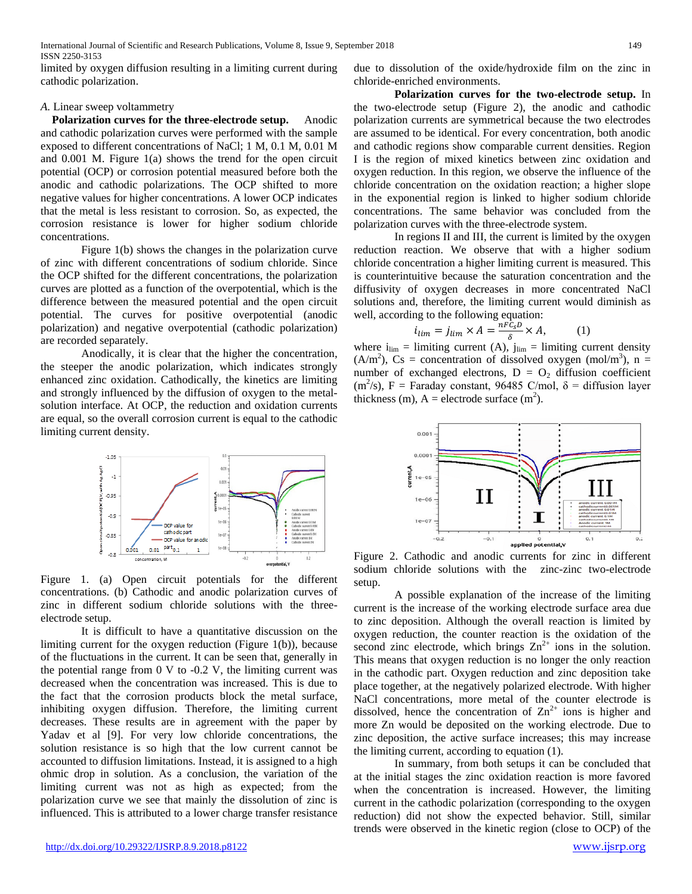limited by oxygen diffusion resulting in a limiting current during cathodic polarization.

#### *A.* Linear sweep voltammetry

 **Polarization curves for the three-electrode setup.** Anodic and cathodic polarization curves were performed with the sample exposed to different concentrations of NaCl; 1 M, 0.1 M, 0.01 M and 0.001 M. Figure 1(a) shows the trend for the open circuit potential (OCP) or corrosion potential measured before both the anodic and cathodic polarizations. The OCP shifted to more negative values for higher concentrations. A lower OCP indicates that the metal is less resistant to corrosion. So, as expected, the corrosion resistance is lower for higher sodium chloride concentrations.

Figure 1(b) shows the changes in the polarization curve of zinc with different concentrations of sodium chloride. Since the OCP shifted for the different concentrations, the polarization curves are plotted as a function of the overpotential, which is the difference between the measured potential and the open circuit potential. The curves for positive overpotential (anodic polarization) and negative overpotential (cathodic polarization) are recorded separately.

Anodically, it is clear that the higher the concentration, the steeper the anodic polarization, which indicates strongly enhanced zinc oxidation. Cathodically, the kinetics are limiting and strongly influenced by the diffusion of oxygen to the metalsolution interface. At OCP, the reduction and oxidation currents are equal, so the overall corrosion current is equal to the cathodic limiting current density.



Figure 1. (a) Open circuit potentials for the different concentrations. (b) Cathodic and anodic polarization curves of zinc in different sodium chloride solutions with the threeelectrode setup.

It is difficult to have a quantitative discussion on the limiting current for the oxygen reduction (Figure 1(b)), because of the fluctuations in the current. It can be seen that, generally in the potential range from 0 V to -0.2 V, the limiting current was decreased when the concentration was increased. This is due to the fact that the corrosion products block the metal surface, inhibiting oxygen diffusion. Therefore, the limiting current decreases. These results are in agreement with the paper by Yadav et al [9]. For very low chloride concentrations, the solution resistance is so high that the low current cannot be accounted to diffusion limitations. Instead, it is assigned to a high ohmic drop in solution. As a conclusion, the variation of the limiting current was not as high as expected; from the polarization curve we see that mainly the dissolution of zinc is influenced. This is attributed to a lower charge transfer resistance

due to dissolution of the oxide/hydroxide film on the zinc in chloride-enriched environments.

**Polarization curves for the two-electrode setup.** In the two-electrode setup (Figure 2), the anodic and cathodic polarization currents are symmetrical because the two electrodes are assumed to be identical. For every concentration, both anodic and cathodic regions show comparable current densities. Region I is the region of mixed kinetics between zinc oxidation and oxygen reduction. In this region, we observe the influence of the chloride concentration on the oxidation reaction; a higher slope in the exponential region is linked to higher sodium chloride concentrations. The same behavior was concluded from the polarization curves with the three-electrode system.

In regions II and III, the current is limited by the oxygen reduction reaction. We observe that with a higher sodium chloride concentration a higher limiting current is measured. This is counterintuitive because the saturation concentration and the diffusivity of oxygen decreases in more concentrated NaCl solutions and, therefore, the limiting current would diminish as well, according to the following equation:

$$
i_{\lim} = j_{\lim} \times A = \frac{nF c_S D}{\delta} \times A,\tag{1}
$$

where  $i_{\text{lim}} =$  limiting current (A),  $j_{\text{lim}} =$  limiting current density  $(A/m<sup>2</sup>)$ , Cs = concentration of dissolved oxygen (mol/m<sup>3</sup>), n = number of exchanged electrons,  $D = O_2$  diffusion coefficient  $(m^2/s)$ , F = Faraday constant, 96485 C/mol,  $\delta$  = diffusion layer thickness (m),  $A =$  electrode surface (m<sup>2</sup>).



Figure 2. Cathodic and anodic currents for zinc in different sodium chloride solutions with the zinc-zinc two-electrode setup.

A possible explanation of the increase of the limiting current is the increase of the working electrode surface area due to zinc deposition. Although the overall reaction is limited by oxygen reduction, the counter reaction is the oxidation of the second zinc electrode, which brings  $Zn^{2+}$  ions in the solution. This means that oxygen reduction is no longer the only reaction in the cathodic part. Oxygen reduction and zinc deposition take place together, at the negatively polarized electrode. With higher NaCl concentrations, more metal of the counter electrode is dissolved, hence the concentration of  $\text{Zn}^{2+}$  ions is higher and more Zn would be deposited on the working electrode. Due to zinc deposition, the active surface increases; this may increase the limiting current, according to equation (1).

In summary, from both setups it can be concluded that at the initial stages the zinc oxidation reaction is more favored when the concentration is increased. However, the limiting current in the cathodic polarization (corresponding to the oxygen reduction) did not show the expected behavior. Still, similar trends were observed in the kinetic region (close to OCP) of the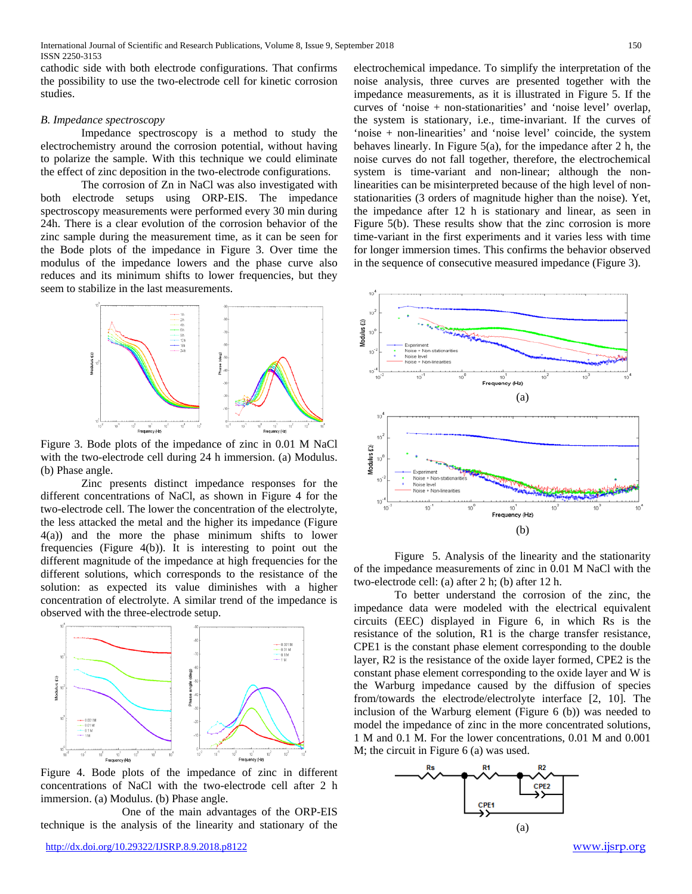cathodic side with both electrode configurations. That confirms the possibility to use the two-electrode cell for kinetic corrosion studies.

#### *B. Impedance spectroscopy*

Impedance spectroscopy is a method to study the electrochemistry around the corrosion potential, without having to polarize the sample. With this technique we could eliminate the effect of zinc deposition in the two-electrode configurations.

The corrosion of Zn in NaCl was also investigated with both electrode setups using ORP-EIS. The impedance spectroscopy measurements were performed every 30 min during 24h. There is a clear evolution of the corrosion behavior of the zinc sample during the measurement time, as it can be seen for the Bode plots of the impedance in Figure 3. Over time the modulus of the impedance lowers and the phase curve also reduces and its minimum shifts to lower frequencies, but they seem to stabilize in the last measurements.



Figure 3. Bode plots of the impedance of zinc in 0.01 M NaCl with the two-electrode cell during 24 h immersion. (a) Modulus. (b) Phase angle.

Zinc presents distinct impedance responses for the different concentrations of NaCl, as shown in Figure 4 for the two-electrode cell. The lower the concentration of the electrolyte, the less attacked the metal and the higher its impedance (Figure 4(a)) and the more the phase minimum shifts to lower frequencies (Figure 4(b)). It is interesting to point out the different magnitude of the impedance at high frequencies for the different solutions, which corresponds to the resistance of the solution: as expected its value diminishes with a higher concentration of electrolyte. A similar trend of the impedance is observed with the three-electrode setup.



Figure 4. Bode plots of the impedance of zinc in different concentrations of NaCl with the two-electrode cell after 2 h immersion. (a) Modulus. (b) Phase angle.

One of the main advantages of the ORP-EIS technique is the analysis of the linearity and stationary of the electrochemical impedance. To simplify the interpretation of the noise analysis, three curves are presented together with the impedance measurements, as it is illustrated in Figure 5. If the curves of 'noise + non-stationarities' and 'noise level' overlap, the system is stationary, i.e., time-invariant. If the curves of 'noise + non-linearities' and 'noise level' coincide, the system behaves linearly. In Figure 5(a), for the impedance after 2 h, the noise curves do not fall together, therefore, the electrochemical system is time-variant and non-linear; although the nonlinearities can be misinterpreted because of the high level of nonstationarities (3 orders of magnitude higher than the noise). Yet, the impedance after 12 h is stationary and linear, as seen in Figure 5(b). These results show that the zinc corrosion is more time-variant in the first experiments and it varies less with time for longer immersion times. This confirms the behavior observed in the sequence of consecutive measured impedance (Figure 3).



Figure 5. Analysis of the linearity and the stationarity of the impedance measurements of zinc in 0.01 M NaCl with the two-electrode cell: (a) after 2 h; (b) after 12 h.

To better understand the corrosion of the zinc, the impedance data were modeled with the electrical equivalent circuits (EEC) displayed in Figure 6, in which Rs is the resistance of the solution, R1 is the charge transfer resistance, CPE1 is the constant phase element corresponding to the double layer, R2 is the resistance of the oxide layer formed, CPE2 is the constant phase element corresponding to the oxide layer and W is the Warburg impedance caused by the diffusion of species from/towards the electrode/electrolyte interface [2, 10]. The inclusion of the Warburg element (Figure 6 (b)) was needed to model the impedance of zinc in the more concentrated solutions, 1 M and 0.1 M. For the lower concentrations, 0.01 M and 0.001 M; the circuit in Figure 6 (a) was used.

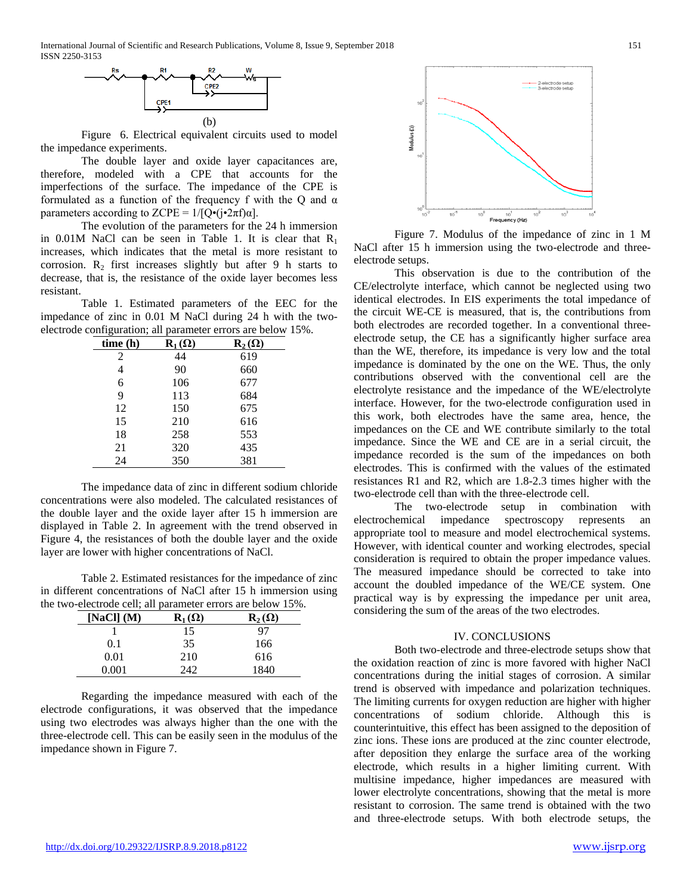International Journal of Scientific and Research Publications, Volume 8, Issue 9, September 2018 151 ISSN 2250-3153



Figure 6. Electrical equivalent circuits used to model the impedance experiments.

The double layer and oxide layer capacitances are, therefore, modeled with a CPE that accounts for the imperfections of the surface. The impedance of the CPE is formulated as a function of the frequency f with the Q and  $\alpha$ parameters according to ZCPE =  $1/[Q\cdot(i\cdot 2\pi f)\alpha]$ .

The evolution of the parameters for the 24 h immersion in  $0.01M$  NaCl can be seen in Table 1. It is clear that  $R_1$ increases, which indicates that the metal is more resistant to corrosion.  $R_2$  first increases slightly but after 9 h starts to decrease, that is, the resistance of the oxide layer becomes less resistant.

Table 1. Estimated parameters of the EEC for the impedance of zinc in 0.01 M NaCl during 24 h with the twoelectrode configuration; all parameter errors are below 15%.

| time (h) | $R_1(\Omega)$ | $\mathbf{R}_2(\Omega)$ |
|----------|---------------|------------------------|
| 2        | 44            | 619                    |
| 4        | 90            | 660                    |
| 6        | 106           | 677                    |
| 9        | 113           | 684                    |
| 12       | 150           | 675                    |
| 15       | 210           | 616                    |
| 18       | 258           | 553                    |
| 21       | 320           | 435                    |
| 24       | 350           | 381                    |

The impedance data of zinc in different sodium chloride concentrations were also modeled. The calculated resistances of the double layer and the oxide layer after 15 h immersion are displayed in Table 2. In agreement with the trend observed in Figure 4, the resistances of both the double layer and the oxide layer are lower with higher concentrations of NaCl.

Table 2. Estimated resistances for the impedance of zinc in different concentrations of NaCl after 15 h immersion using the two-electrode cell; all parameter errors are below 15%.

| [NaCl] $(M)$ | $\mathbf{R}_1(\Omega)$ | $\mathbf{R}_2(\Omega)$ |
|--------------|------------------------|------------------------|
|              | 15                     | 97                     |
| 0.1          | 35                     | 166                    |
| 0.01         | 210                    | 616                    |
| $0.001\,$    | 242                    | 1840                   |

Regarding the impedance measured with each of the electrode configurations, it was observed that the impedance using two electrodes was always higher than the one with the three-electrode cell. This can be easily seen in the modulus of the impedance shown in Figure 7.



Figure 7. Modulus of the impedance of zinc in 1 M NaCl after 15 h immersion using the two-electrode and threeelectrode setups.

This observation is due to the contribution of the CE/electrolyte interface, which cannot be neglected using two identical electrodes. In EIS experiments the total impedance of the circuit WE-CE is measured, that is, the contributions from both electrodes are recorded together. In a conventional threeelectrode setup, the CE has a significantly higher surface area than the WE, therefore, its impedance is very low and the total impedance is dominated by the one on the WE. Thus, the only contributions observed with the conventional cell are the electrolyte resistance and the impedance of the WE/electrolyte interface. However, for the two-electrode configuration used in this work, both electrodes have the same area, hence, the impedances on the CE and WE contribute similarly to the total impedance. Since the WE and CE are in a serial circuit, the impedance recorded is the sum of the impedances on both electrodes. This is confirmed with the values of the estimated resistances R1 and R2, which are 1.8-2.3 times higher with the two-electrode cell than with the three-electrode cell.

The two-electrode setup in combination with electrochemical impedance spectroscopy represents an appropriate tool to measure and model electrochemical systems. However, with identical counter and working electrodes, special consideration is required to obtain the proper impedance values. The measured impedance should be corrected to take into account the doubled impedance of the WE/CE system. One practical way is by expressing the impedance per unit area, considering the sum of the areas of the two electrodes.

#### IV. CONCLUSIONS

Both two-electrode and three-electrode setups show that the oxidation reaction of zinc is more favored with higher NaCl concentrations during the initial stages of corrosion. A similar trend is observed with impedance and polarization techniques. The limiting currents for oxygen reduction are higher with higher concentrations of sodium chloride. Although this is counterintuitive, this effect has been assigned to the deposition of zinc ions. These ions are produced at the zinc counter electrode, after deposition they enlarge the surface area of the working electrode, which results in a higher limiting current. With multisine impedance, higher impedances are measured with lower electrolyte concentrations, showing that the metal is more resistant to corrosion. The same trend is obtained with the two and three-electrode setups. With both electrode setups, the